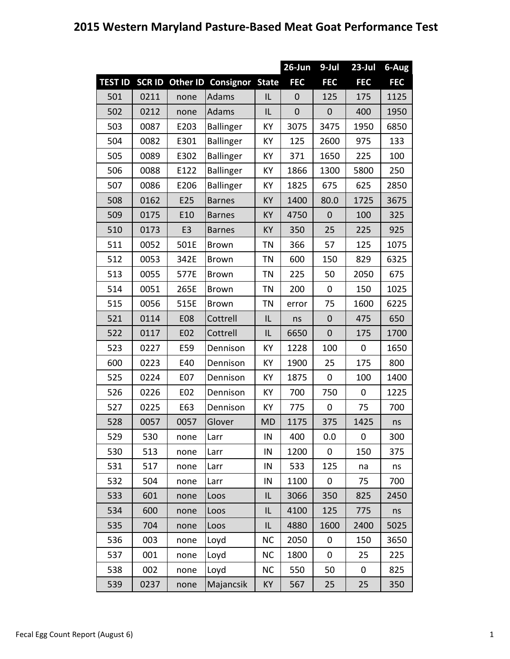## **2015 Western Maryland Pasture‐Based Meat Goat Performance Test**

|                |              |                |                  |              | 26-Jun           | $9-Jul$          | $23 -$ Jul  | 6-Aug      |
|----------------|--------------|----------------|------------------|--------------|------------------|------------------|-------------|------------|
| <b>TEST ID</b> | <b>SCRID</b> | Other ID       | Consignor        | <b>State</b> | <b>FEC</b>       | <b>FEC</b>       | <b>FEC</b>  | <b>FEC</b> |
| 501            | 0211         | none           | <b>Adams</b>     | IL           | $\mathbf 0$      | 125              | 175         | 1125       |
| 502            | 0212         | none           | <b>Adams</b>     | IL           | $\boldsymbol{0}$ | $\mathbf 0$      | 400         | 1950       |
| 503            | 0087         | E203           | <b>Ballinger</b> | КY           | 3075             | 3475             | 1950        | 6850       |
| 504            | 0082         | E301           | <b>Ballinger</b> | KY           | 125              | 2600             | 975         | 133        |
| 505            | 0089         | E302           | <b>Ballinger</b> | KY           | 371              | 1650             | 225         | 100        |
| 506            | 0088         | E122           | Ballinger        | KY           | 1866             | 1300             | 5800        | 250        |
| 507            | 0086         | E206           | <b>Ballinger</b> | KY           | 1825             | 675              | 625         | 2850       |
| 508            | 0162         | E25            | <b>Barnes</b>    | KY           | 1400             | 80.0             | 1725        | 3675       |
| 509            | 0175         | E10            | <b>Barnes</b>    | KY           | 4750             | $\mathbf 0$      | 100         | 325        |
| 510            | 0173         | E <sub>3</sub> | <b>Barnes</b>    | KY           | 350              | 25               | 225         | 925        |
| 511            | 0052         | 501E           | Brown            | <b>TN</b>    | 366              | 57               | 125         | 1075       |
| 512            | 0053         | 342E           | <b>Brown</b>     | <b>TN</b>    | 600              | 150              | 829         | 6325       |
| 513            | 0055         | 577E           | Brown            | <b>TN</b>    | 225              | 50               | 2050        | 675        |
| 514            | 0051         | 265E           | <b>Brown</b>     | <b>TN</b>    | 200              | $\boldsymbol{0}$ | 150         | 1025       |
| 515            | 0056         | 515E           | <b>Brown</b>     | <b>TN</b>    | error            | 75               | 1600        | 6225       |
| 521            | 0114         | <b>E08</b>     | Cottrell         | IL           | ns               | $\mathbf 0$      | 475         | 650        |
| 522            | 0117         | E02            | Cottrell         | IL           | 6650             | $\overline{0}$   | 175         | 1700       |
| 523            | 0227         | E59            | Dennison         | KY           | 1228             | 100              | $\mathbf 0$ | 1650       |
| 600            | 0223         | E40            | Dennison         | KY           | 1900             | 25               | 175         | 800        |
| 525            | 0224         | E07            | Dennison         | KY           | 1875             | 0                | 100         | 1400       |
| 526            | 0226         | E02            | Dennison         | KY           | 700              | 750              | $\mathbf 0$ | 1225       |
| 527            | 0225         | E63            | Dennison         | КY           | 775              | 0                | 75          | 700        |
| 528            | 0057         | 0057           | Glover           | <b>MD</b>    | 1175             | 375              | 1425        | ns         |
| 529            | 530          | none           | Larr             | IN           | 400              | 0.0              | 0           | 300        |
| 530            | 513          | none           | Larr             | IN           | 1200             | 0                | 150         | 375        |
| 531            | 517          | none           | Larr             | IN           | 533              | 125              | na          | ns         |
| 532            | 504          | none           | Larr             | IN           | 1100             | 0                | 75          | 700        |
| 533            | 601          | none           | Loos             | IL           | 3066             | 350              | 825         | 2450       |
| 534            | 600          | none           | Loos             | IL           | 4100             | 125              | 775         | ns         |
| 535            | 704          | none           | Loos             | IL           | 4880             | 1600             | 2400        | 5025       |
| 536            | 003          | none           | Loyd             | <b>NC</b>    | 2050             | 0                | 150         | 3650       |
| 537            | 001          | none           | Loyd             | <b>NC</b>    | 1800             | 0                | 25          | 225        |
| 538            | 002          | none           | Loyd             | <b>NC</b>    | 550              | 50               | 0           | 825        |
| 539            | 0237         | none           | Majancsik        | KY           | 567              | 25               | 25          | 350        |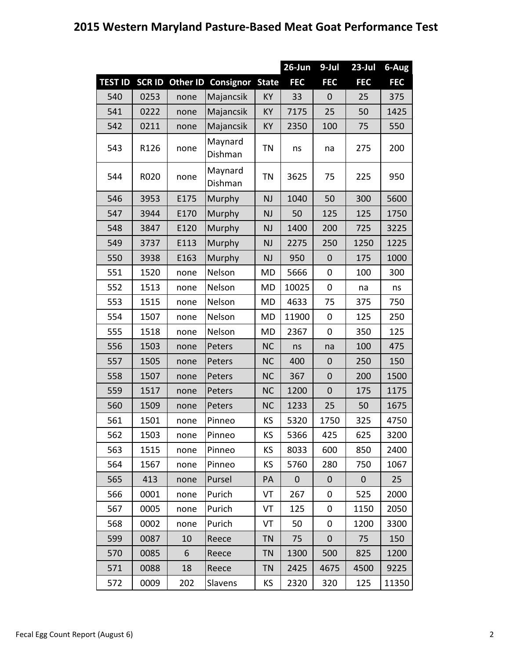## **2015 Western Maryland Pasture‐Based Meat Goat Performance Test**

|                |               |                 |                    |              | 26-Jun      | 9-Jul       | $23$ -Jul    | 6-Aug      |
|----------------|---------------|-----------------|--------------------|--------------|-------------|-------------|--------------|------------|
| <b>TEST ID</b> | <b>SCR ID</b> | <b>Other ID</b> | Consignor          | <b>State</b> | <b>FEC</b>  | <b>FEC</b>  | <b>FEC</b>   | <b>FEC</b> |
| 540            | 0253          | none            | Majancsik          | KY           | 33          | $\mathbf 0$ | 25           | 375        |
| 541            | 0222          | none            | Majancsik          | KY           | 7175        | 25          | 50           | 1425       |
| 542            | 0211          | none            | Majancsik          | KY           | 2350        | 100         | 75           | 550        |
| 543            | R126          | none            | Maynard<br>Dishman | <b>TN</b>    | ns          | na          | 275          | 200        |
| 544            | R020          | none            | Maynard<br>Dishman | <b>TN</b>    | 3625        | 75          | 225          | 950        |
| 546            | 3953          | E175            | Murphy             | <b>NJ</b>    | 1040        | 50          | 300          | 5600       |
| 547            | 3944          | E170            | Murphy             | <b>NJ</b>    | 50          | 125         | 125          | 1750       |
| 548            | 3847          | E120            | Murphy             | <b>NJ</b>    | 1400        | 200         | 725          | 3225       |
| 549            | 3737          | E113            | Murphy             | <b>NJ</b>    | 2275        | 250         | 1250         | 1225       |
| 550            | 3938          | E163            | Murphy             | <b>NJ</b>    | 950         | $\mathbf 0$ | 175          | 1000       |
| 551            | 1520          | none            | Nelson             | <b>MD</b>    | 5666        | $\mathbf 0$ | 100          | 300        |
| 552            | 1513          | none            | Nelson             | <b>MD</b>    | 10025       | 0           | na           | ns         |
| 553            | 1515          | none            | Nelson             | <b>MD</b>    | 4633        | 75          | 375          | 750        |
| 554            | 1507          | none            | Nelson             | <b>MD</b>    | 11900       | 0           | 125          | 250        |
| 555            | 1518          | none            | Nelson             | MD           | 2367        | $\mathbf 0$ | 350          | 125        |
| 556            | 1503          | none            | Peters             | <b>NC</b>    | ns          | na          | 100          | 475        |
| 557            | 1505          | none            | Peters             | <b>NC</b>    | 400         | $\mathbf 0$ | 250          | 150        |
| 558            | 1507          | none            | Peters             | <b>NC</b>    | 367         | $\mathbf 0$ | 200          | 1500       |
| 559            | 1517          | none            | Peters             | <b>NC</b>    | 1200        | $\mathbf 0$ | 175          | 1175       |
| 560            | 1509          | none            | Peters             | <b>NC</b>    | 1233        | 25          | 50           | 1675       |
| 561            | 1501          | none            | Pinneo             | KS           | 5320        | 1750        | 325          | 4750       |
| 562            | 1503          | none            | Pinneo             | KS           | 5366        | 425         | 625          | 3200       |
| 563            | 1515          | none            | Pinneo             | KS.          | 8033        | 600         | 850          | 2400       |
| 564            | 1567          | none            | Pinneo             | KS.          | 5760        | 280         | 750          | 1067       |
| 565            | 413           | none            | Pursel             | PA           | $\mathbf 0$ | 0           | $\mathbf{0}$ | 25         |
| 566            | 0001          | none            | Purich             | VT           | 267         | 0           | 525          | 2000       |
| 567            | 0005          | none            | Purich             | VT           | 125         | 0           | 1150         | 2050       |
| 568            | 0002          | none            | Purich             | VT           | 50          | 0           | 1200         | 3300       |
| 599            | 0087          | 10              | Reece              | <b>TN</b>    | 75          | $\mathbf 0$ | 75           | 150        |
| 570            | 0085          | 6               | Reece              | <b>TN</b>    | 1300        | 500         | 825          | 1200       |
| 571            | 0088          | 18              | Reece              | <b>TN</b>    | 2425        | 4675        | 4500         | 9225       |
| 572            | 0009          | 202             | Slavens            | KS           | 2320        | 320         | 125          | 11350      |